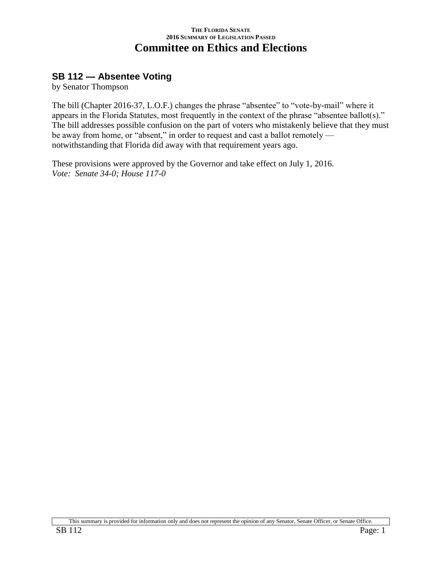### **SB 112 — Absentee Voting**

by Senator Thompson

The bill (Chapter 2016-37, L.O.F.) changes the phrase "absentee" to "vote-by-mail" where it appears in the Florida Statutes, most frequently in the context of the phrase "absentee ballot(s)." The bill addresses possible confusion on the part of voters who mistakenly believe that they must be away from home, or "absent," in order to request and cast a ballot remotely notwithstanding that Florida did away with that requirement years ago.

These provisions were approved by the Governor and take effect on July 1, 2016. *Vote: Senate 34-0; House 117-0*

This summary is provided for information only and does not represent the opinion of any Senator, Senate Officer, or Senate Office.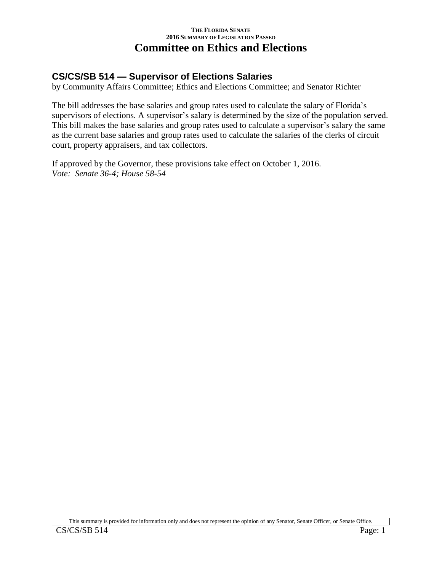# **CS/CS/SB 514 — Supervisor of Elections Salaries**

by Community Affairs Committee; Ethics and Elections Committee; and Senator Richter

The bill addresses the base salaries and group rates used to calculate the salary of Florida's supervisors of elections. A supervisor's salary is determined by the size of the population served. This bill makes the base salaries and group rates used to calculate a supervisor's salary the same as the current base salaries and group rates used to calculate the salaries of the clerks of circuit court, property appraisers, and tax collectors.

If approved by the Governor, these provisions take effect on October 1, 2016. *Vote: Senate 36-4; House 58-54*

This summary is provided for information only and does not represent the opinion of any Senator, Senate Officer, or Senate Office.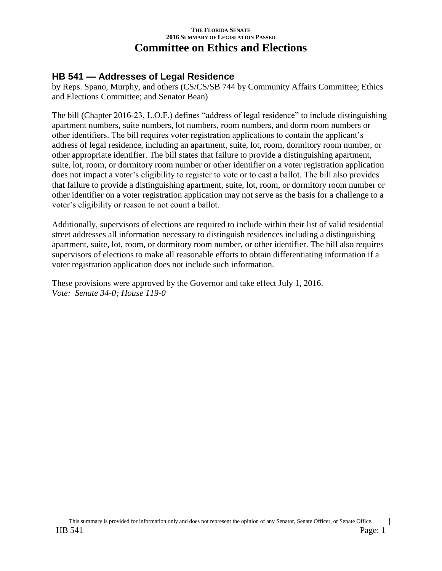### **HB 541 — Addresses of Legal Residence**

by Reps. Spano, Murphy, and others (CS/CS/SB 744 by Community Affairs Committee; Ethics and Elections Committee; and Senator Bean)

The bill (Chapter 2016-23, L.O.F.) defines "address of legal residence" to include distinguishing apartment numbers, suite numbers, lot numbers, room numbers, and dorm room numbers or other identifiers. The bill requires voter registration applications to contain the applicant's address of legal residence, including an apartment, suite, lot, room, dormitory room number, or other appropriate identifier. The bill states that failure to provide a distinguishing apartment, suite, lot, room, or dormitory room number or other identifier on a voter registration application does not impact a voter's eligibility to register to vote or to cast a ballot. The bill also provides that failure to provide a distinguishing apartment, suite, lot, room, or dormitory room number or other identifier on a voter registration application may not serve as the basis for a challenge to a voter's eligibility or reason to not count a ballot.

Additionally, supervisors of elections are required to include within their list of valid residential street addresses all information necessary to distinguish residences including a distinguishing apartment, suite, lot, room, or dormitory room number, or other identifier. The bill also requires supervisors of elections to make all reasonable efforts to obtain differentiating information if a voter registration application does not include such information.

These provisions were approved by the Governor and take effect July 1, 2016. *Vote: Senate 34-0; House 119-0*

This summary is provided for information only and does not represent the opinion of any Senator, Senate Officer, or Senate Office.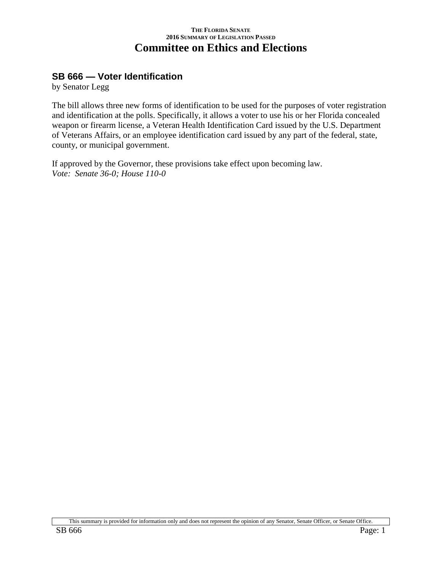### **SB 666 — Voter Identification**

by Senator Legg

The bill allows three new forms of identification to be used for the purposes of voter registration and identification at the polls. Specifically, it allows a voter to use his or her Florida concealed weapon or firearm license, a Veteran Health Identification Card issued by the U.S. Department of Veterans Affairs, or an employee identification card issued by any part of the federal, state, county, or municipal government.

If approved by the Governor, these provisions take effect upon becoming law. *Vote: Senate 36-0; House 110-0*

This summary is provided for information only and does not represent the opinion of any Senator, Senate Officer, or Senate Office.